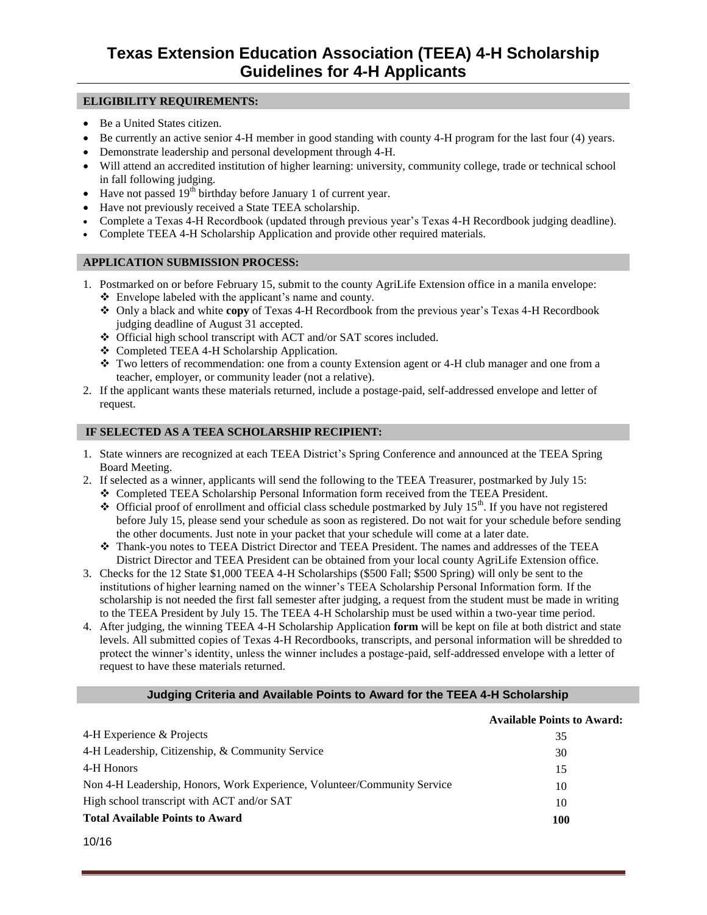### **ELIGIBILITY REQUIREMENTS:**

- Be a United States citizen.
- Be currently an active senior 4-H member in good standing with county 4-H program for the last four (4) years.
- Demonstrate leadership and personal development through 4-H.
- Will attend an accredited institution of higher learning: university, community college, trade or technical school in fall following judging.
- $\bullet$  Have not passed 19<sup>th</sup> birthday before January 1 of current year.
- Have not previously received a State TEEA scholarship.
- Complete a Texas 4-H Recordbook (updated through previous year's Texas 4-H Recordbook judging deadline).
- Complete TEEA 4-H Scholarship Application and provide other required materials.

### **APPLICATION SUBMISSION PROCESS:**

- 1. Postmarked on or before February 15, submit to the county AgriLife Extension office in a manila envelope: Envelope labeled with the applicant's name and county.
	- Only a black and white **copy** of Texas 4-H Recordbook from the previous year's Texas 4-H Recordbook judging deadline of August 31 accepted.
	- Official high school transcript with ACT and/or SAT scores included.
	- Completed TEEA 4-H Scholarship Application.
	- $\cdot \cdot$  Two letters of recommendation: one from a county Extension agent or 4-H club manager and one from a teacher, employer, or community leader (not a relative).
- 2. If the applicant wants these materials returned, include a postage-paid, self-addressed envelope and letter of request.

### **IF SELECTED AS A TEEA SCHOLARSHIP RECIPIENT:**

- 1. State winners are recognized at each TEEA District's Spring Conference and announced at the TEEA Spring Board Meeting.
- 2. If selected as a winner, applicants will send the following to the TEEA Treasurer, postmarked by July 15:
	- Completed TEEA Scholarship Personal Information form received from the TEEA President.
	- $\triangleleft$  Official proof of enrollment and official class schedule postmarked by July 15<sup>th</sup>. If you have not registered before July 15, please send your schedule as soon as registered. Do not wait for your schedule before sending the other documents. Just note in your packet that your schedule will come at a later date.
	- Thank-you notes to TEEA District Director and TEEA President. The names and addresses of the TEEA District Director and TEEA President can be obtained from your local county AgriLife Extension office.
- 3. Checks for the 12 State \$1,000 TEEA 4-H Scholarships (\$500 Fall; \$500 Spring) will only be sent to the institutions of higher learning named on the winner's TEEA Scholarship Personal Information form. If the scholarship is not needed the first fall semester after judging, a request from the student must be made in writing to the TEEA President by July 15. The TEEA 4-H Scholarship must be used within a two-year time period.
- 4. After judging, the winning TEEA 4-H Scholarship Application **form** will be kept on file at both district and state levels. All submitted copies of Texas 4-H Recordbooks, transcripts, and personal information will be shredded to protect the winner's identity, unless the winner includes a postage-paid, self-addressed envelope with a letter of request to have these materials returned.

#### **Judging Criteria and Available Points to Award for the TEEA 4-H Scholarship**

|                                                                          | <b>Available Points to Award:</b> |
|--------------------------------------------------------------------------|-----------------------------------|
| 4-H Experience & Projects                                                | 35                                |
| 4-H Leadership, Citizenship, & Community Service                         | 30                                |
| 4-H Honors                                                               | 15                                |
| Non 4-H Leadership, Honors, Work Experience, Volunteer/Community Service | 10                                |
| High school transcript with ACT and/or SAT                               | 10                                |
| <b>Total Available Points to Award</b>                                   | <b>100</b>                        |

10/16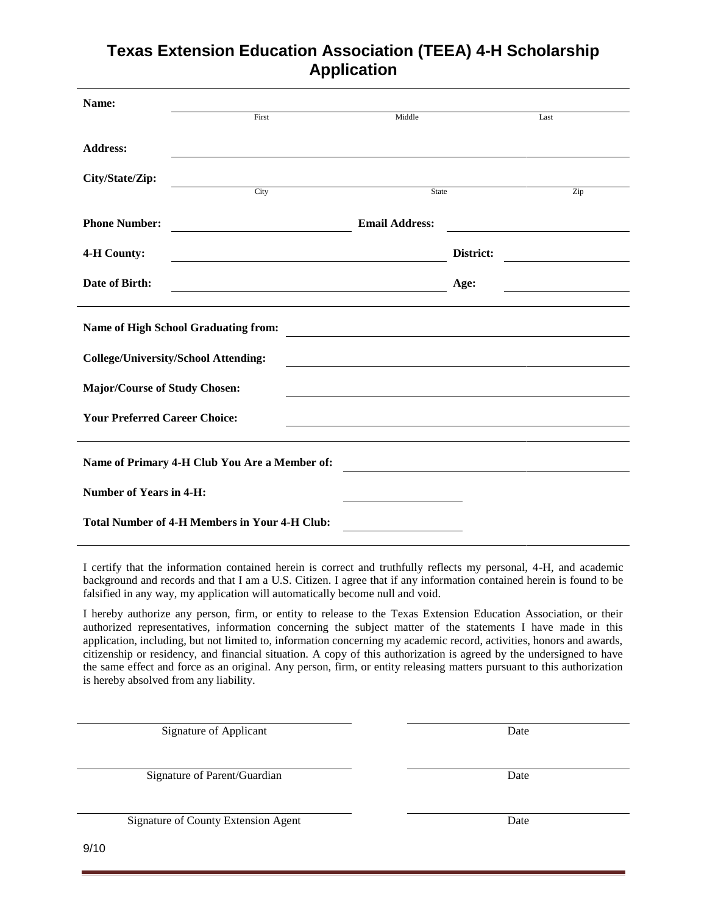# **Texas Extension Education Association (TEEA) 4-H Scholarship Application**

| Name:                                |                                                            |                       |           |
|--------------------------------------|------------------------------------------------------------|-----------------------|-----------|
|                                      | First                                                      | Middle                | Last      |
| <b>Address:</b>                      |                                                            |                       |           |
| City/State/Zip:                      | City                                                       | State                 | Zip       |
|                                      |                                                            |                       |           |
| <b>Phone Number:</b>                 |                                                            | <b>Email Address:</b> |           |
| 4-H County:                          | <u> 1989 - Johann Barn, amerikansk politiker (d. 1989)</u> |                       | District: |
| Date of Birth:                       |                                                            |                       | Age:      |
|                                      | Name of High School Graduating from:                       |                       |           |
|                                      | <b>College/University/School Attending:</b>                |                       |           |
| <b>Major/Course of Study Chosen:</b> |                                                            |                       |           |
| <b>Your Preferred Career Choice:</b> |                                                            |                       |           |
|                                      | Name of Primary 4-H Club You Are a Member of:              |                       |           |
| <b>Number of Years in 4-H:</b>       |                                                            |                       |           |
|                                      | <b>Total Number of 4-H Members in Your 4-H Club:</b>       |                       |           |

I certify that the information contained herein is correct and truthfully reflects my personal, 4-H, and academic background and records and that I am a U.S. Citizen. I agree that if any information contained herein is found to be falsified in any way, my application will automatically become null and void.

I hereby authorize any person, firm, or entity to release to the Texas Extension Education Association, or their authorized representatives, information concerning the subject matter of the statements I have made in this application, including, but not limited to, information concerning my academic record, activities, honors and awards, citizenship or residency, and financial situation. A copy of this authorization is agreed by the undersigned to have the same effect and force as an original. Any person, firm, or entity releasing matters pursuant to this authorization is hereby absolved from any liability.

Signature of Applicant Date

Signature of Parent/Guardian Date

Signature of County Extension Agent Date

9/10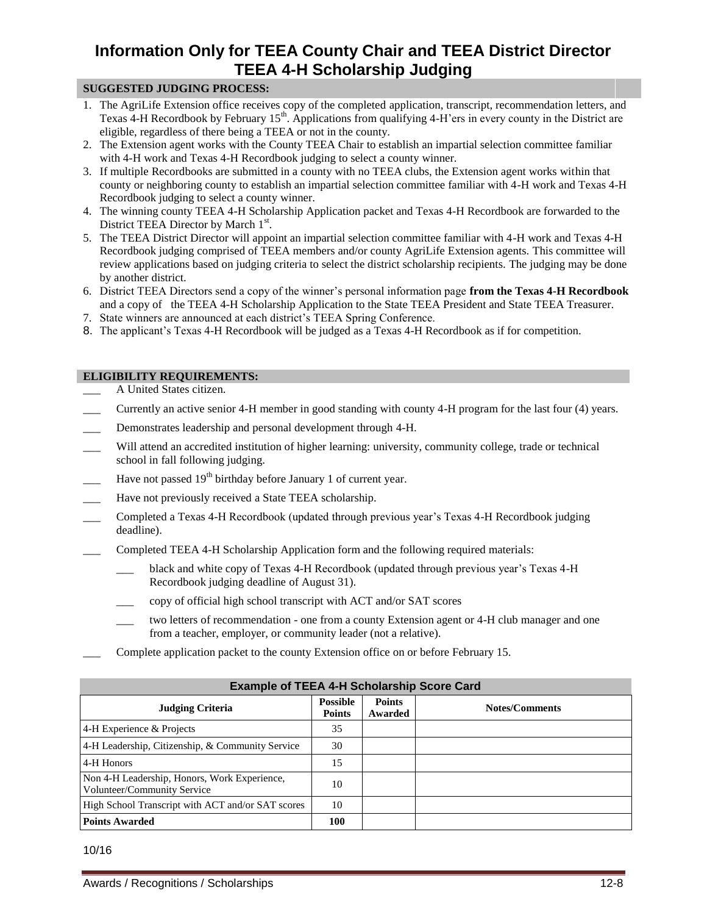# **Information Only for TEEA County Chair and TEEA District Director TEEA 4-H Scholarship Judging**

### **SUGGESTED JUDGING PROCESS:**

- 1. The AgriLife Extension office receives copy of the completed application, transcript, recommendation letters, and Texas 4-H Recordbook by February 15<sup>th</sup>. Applications from qualifying 4-H'ers in every county in the District are eligible, regardless of there being a TEEA or not in the county.
- 2. The Extension agent works with the County TEEA Chair to establish an impartial selection committee familiar with 4-H work and Texas 4-H Recordbook judging to select a county winner.
- 3. If multiple Recordbooks are submitted in a county with no TEEA clubs, the Extension agent works within that county or neighboring county to establish an impartial selection committee familiar with 4-H work and Texas 4-H Recordbook judging to select a county winner.
- 4. The winning county TEEA 4-H Scholarship Application packet and Texas 4-H Recordbook are forwarded to the District TEEA Director by March 1st.
- 5. The TEEA District Director will appoint an impartial selection committee familiar with 4-H work and Texas 4-H Recordbook judging comprised of TEEA members and/or county AgriLife Extension agents. This committee will review applications based on judging criteria to select the district scholarship recipients. The judging may be done by another district.
- 6. District TEEA Directors send a copy of the winner's personal information page **from the Texas 4-H Recordbook** and a copy of the TEEA 4-H Scholarship Application to the State TEEA President and State TEEA Treasurer.
- 7. State winners are announced at each district's TEEA Spring Conference.
- 8. The applicant's Texas 4-H Recordbook will be judged as a Texas 4-H Recordbook as if for competition.

## **ELIGIBILITY REQUIREMENTS:**

- \_\_\_ A United States citizen.
- \_\_\_ Currently an active senior 4-H member in good standing with county 4-H program for the last four (4) years.
- Demonstrates leadership and personal development through 4-H.
- Will attend an accredited institution of higher learning: university, community college, trade or technical school in fall following judging.
- Have not passed  $19<sup>th</sup>$  birthday before January 1 of current year.
- Have not previously received a State TEEA scholarship.
- \_\_\_ Completed a Texas 4-H Recordbook (updated through previous year's Texas 4-H Recordbook judging deadline).
- Completed TEEA 4-H Scholarship Application form and the following required materials:
	- \_\_\_ black and white copy of Texas 4-H Recordbook (updated through previous year's Texas 4-H Recordbook judging deadline of August 31).
	- \_\_\_ copy of official high school transcript with ACT and/or SAT scores
	- two letters of recommendation one from a county Extension agent or 4-H club manager and one from a teacher, employer, or community leader (not a relative).
- \_\_\_ Complete application packet to the county Extension office on or before February 15.

| <b>Example of TEEA 4-H Scholarship Score Card</b>                           |                                  |                          |                       |  |  |
|-----------------------------------------------------------------------------|----------------------------------|--------------------------|-----------------------|--|--|
| <b>Judging Criteria</b>                                                     | <b>Possible</b><br><b>Points</b> | <b>Points</b><br>Awarded | <b>Notes/Comments</b> |  |  |
| 4-H Experience & Projects                                                   | 35                               |                          |                       |  |  |
| 4-H Leadership, Citizenship, & Community Service                            | 30                               |                          |                       |  |  |
| 4-H Honors                                                                  | 15                               |                          |                       |  |  |
| Non 4-H Leadership, Honors, Work Experience,<br>Volunteer/Community Service | 10                               |                          |                       |  |  |
| High School Transcript with ACT and/or SAT scores                           | 10                               |                          |                       |  |  |
| <b>Points Awarded</b>                                                       | 100                              |                          |                       |  |  |

10/16